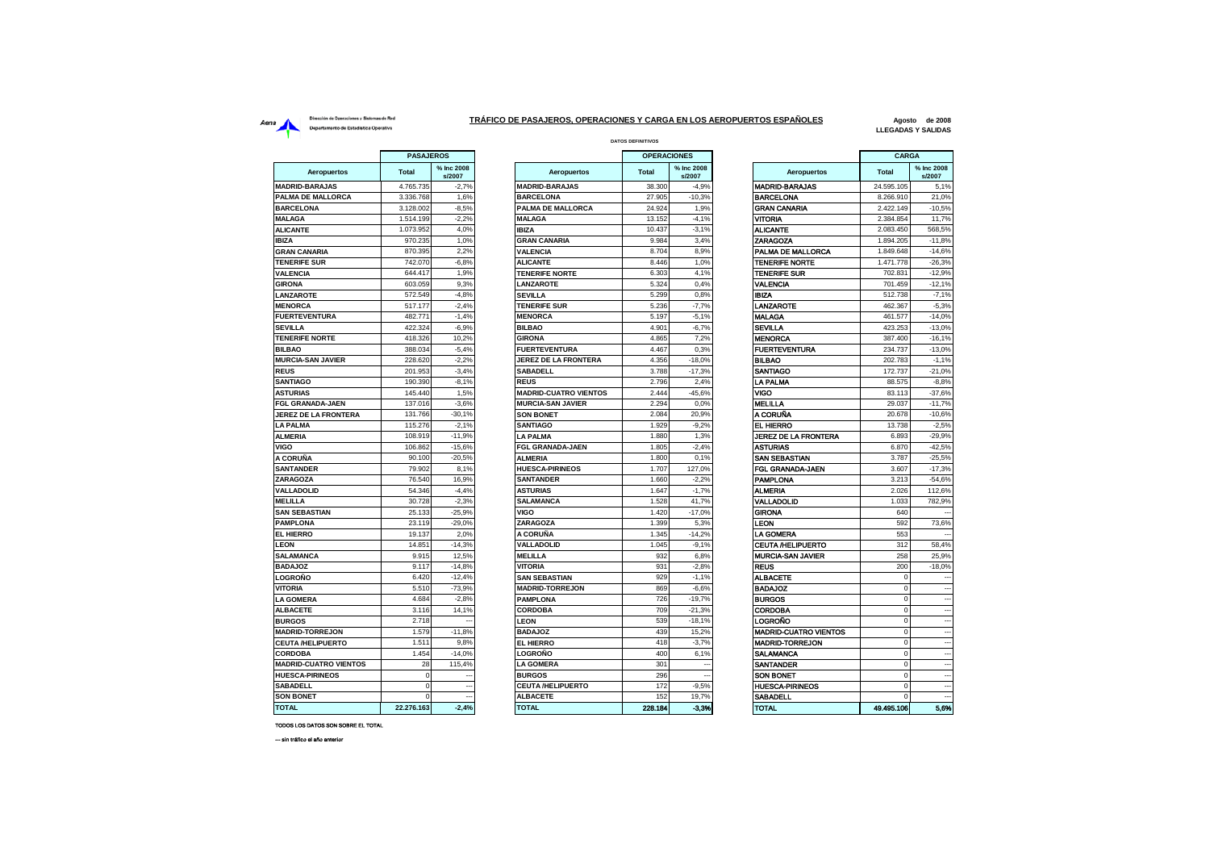## Dirección de Operaciones y Sistemas de Red Aerna<br>
Dirección de Operationes y Sistemas de Red<br>
Departamento de Estadística Operativa<br>
Departamento de Estadística Operativa

## **DATOS DEFINITIVOS TRÁFICO DE PASAJEROS, OPERACIONES Y CARGA EN LOS AEROPUERTOS ESPAÑOLES**

**Agosto de 2008 LLEGADAS Y SALIDAS**

|                              | <b>PASAJEROS</b><br><b>OPERACIONES</b> |                      |                                 |                |                      | <b>CARGA</b>                 |                 |                          |
|------------------------------|----------------------------------------|----------------------|---------------------------------|----------------|----------------------|------------------------------|-----------------|--------------------------|
| <b>Aeropuertos</b>           | <b>Total</b>                           | % Inc 2008<br>s/2007 | Aeropuertos                     | <b>Total</b>   | % Inc 2008<br>s/2007 | <b>Aeropuertos</b>           | <b>Total</b>    | % Inc 2008<br>s/2007     |
| <b>MADRID-BARAJAS</b>        | 4.765.735                              | $-2,7%$              | <b>MADRID-BARAJAS</b>           | 38.300         | $-4,9%$              | <b>MADRID-BARAJAS</b>        | 24.595.105      | 5,1%                     |
| PALMA DE MALLORCA            | 3.336.768                              | 1.6%                 | <b>BARCELONA</b>                | 27,905         | $-10.3%$             | <b>BARCELONA</b>             | 8.266.910       | 21,0%                    |
| <b>BARCELONA</b>             | 3.128.002                              | $-8,5%$              | <b>PALMA DE MALLORCA</b>        | 24.924         | 1,9%                 | <b>GRAN CANARIA</b>          | 2.422.149       | $-10,5%$                 |
| <b>MALAGA</b>                | 1.514.199                              | $-2.2%$              | <b>MALAGA</b>                   | 13.152         | $-4.1%$              | <b>VITORIA</b>               | 2.384.854       | 11,7%                    |
| <b>ALICANTE</b>              | 1.073.952                              | 4,0%                 | <b>IBIZA</b>                    | 10.437         | $-3,1%$              | <b>ALICANTE</b>              | 2.083.450       | 568,5%                   |
| <b>IBIZA</b>                 | 970.235                                | 1,0%                 | <b>GRAN CANARIA</b>             | 9.984          | 3,4%                 | <b>ZARAGOZA</b>              | 1.894.205       | $-11,8%$                 |
| <b>GRAN CANARIA</b>          | 870.395                                | 2.2%                 | <b>VALENCIA</b>                 | 8.704          | 8.9%                 | PALMA DE MALLORCA            | 1.849.648       | $-14,6%$                 |
| <b>TENERIFE SUR</b>          | 742.070                                | $-6,8%$              | <b>ALICANTE</b>                 | 8.446          | 1,0%                 | <b>TENERIFE NORTE</b>        | 1.471.778       | $-26,3%$                 |
| <b>VALENCIA</b>              | 644.417                                | 1,9%                 | <b>TENERIFE NORTE</b>           | 6.303          | 4,1%                 | <b>TENERIFE SUR</b>          | 702.831         | $-12,9%$                 |
| <b>GIRONA</b>                | 603.059                                | 9.3%                 | LANZAROTE                       | 5.324          | 0.4%                 | VALENCIA                     | 701.459         | $-12,1%$                 |
| LANZAROTE                    | 572.549                                | $-4,8%$              | <b>SEVILLA</b>                  | 5.299          | 0.8%                 | <b>IBIZA</b>                 | 512.738         | $-7,1%$                  |
| <b>MENORCA</b>               | 517.177                                | $-2.4%$              | <b>TENERIFE SUR</b>             | 5.236          | $-7,7%$              | <b>LANZAROTE</b>             | 462.367         | $-5,3%$                  |
| <b>FUERTEVENTURA</b>         | 482.771                                | $-1,4%$              | <b>MENORCA</b>                  | 5.197          | $-5,1%$              | <b>MALAGA</b>                | 461.577         | $-14,0%$                 |
| <b>SEVILLA</b>               | 422.324                                | $-6.9%$              | <b>BILBAO</b>                   | 4.901          | $-6.7%$              | <b>SEVILLA</b>               | 423.253         | $-13.0%$                 |
| <b>TENERIFE NORTE</b>        | 418.326                                | 10,2%                | <b>GIRONA</b>                   | 4.865          | 7.2%                 | <b>MENORCA</b>               | 387,400         | $-16,1%$                 |
| <b>BILBAO</b>                | 388.034                                | $-5,4%$              | <b>FUERTEVENTURA</b>            | 4.467          | 0,3%                 | <b>FUERTEVENTURA</b>         | 234.737         | $-13,0%$                 |
| <b>MURCIA-SAN JAVIER</b>     | 228.620                                | $-2,2%$              | <b>JEREZ DE LA FRONTERA</b>     | 4.356          | $-18,0%$             | <b>BILBAO</b>                | 202.783         | $-1,1%$                  |
| <b>REUS</b>                  | 201.953                                | $-3,4%$              | <b>SABADELL</b>                 | 3.788          | $-17,3%$             | SANTIAGO                     | 172.737         | $-21.0%$                 |
| <b>SANTIAGO</b>              | 190.390                                | $-8.1%$              | <b>REUS</b>                     | 2.796          | 2.4%                 | <b>LA PALMA</b>              | 88.575          | $-8.8%$                  |
| <b>ASTURIAS</b>              | 145.440                                | 1,5%                 | <b>MADRID-CUATRO VIENTOS</b>    | 2.444          | $-45,6%$             | VIGO                         | 83.113          | $-37,6%$                 |
| FGL GRANADA-JAEN             | 137.016                                | $-3,6%$              | <b>MURCIA-SAN JAVIER</b>        | 2.294          | 0.0%                 | MELILLA                      | 29.037          | $-11,7%$                 |
| <b>JEREZ DE LA FRONTERA</b>  | 131.766                                | $-30,1%$             | <b>SON BONET</b>                | 2.084          | 20,9%                | A CORUÑA                     | 20.678          | $-10,6%$                 |
| <b>LA PALMA</b>              | 115.276                                | $-2,1%$              | <b>SANTIAGO</b>                 | 1.929          | $-9,2%$              | EL HIERRO                    | 13.738          | $-2,5%$                  |
| <b>ALMERIA</b>               | 108.919                                | $-11,9%$             | LA PALMA                        | 1.880          | 1,3%                 | JEREZ DE LA FRONTERA         | 6.893           | $-29,9%$                 |
| <b>VIGO</b>                  | 106.862                                | $-15,6%$             | <b>FGL GRANADA-JAEN</b>         | 1.805          | $-2,4%$              | <b>ASTURIAS</b>              | 6.870           | $-42,5%$                 |
| A CORUÑA                     | 90.100                                 | $-20,5%$             | <b>ALMERIA</b>                  | 1.800          | 0.1%                 | SAN SEBASTIAN                | 3.787           | $-25,5%$                 |
| <b>SANTANDER</b>             | 79.902                                 | 8.1%                 | <b>HUESCA-PIRINEOS</b>          | 1.707          | 127.0%               | FGL GRANADA-JAEN             | 3.607           | $-17.3%$                 |
| <b>ZARAGOZA</b>              | 76.540                                 | 16,9%                | <b>SANTANDER</b>                | 1.660          | $-2,2%$              | <b>PAMPLONA</b>              | 3.213           | $-54,6%$                 |
| <b>VALLADOLID</b>            | 54.346                                 | $-4,4%$              | <b>ASTURIAS</b>                 | 1.647          | $-1.7%$              | <b>ALMERIA</b>               | 2.026           | 112.6%                   |
| <b>MELILLA</b>               | 30.728                                 | $-2,3%$              | <b>SALAMANCA</b>                | 1.528          | 41.7%                | VALLADOLID                   | 1.033           | 782,9%                   |
| <b>SAN SEBASTIAN</b>         | 25.133                                 | $-25,9%$             | <b>VIGO</b>                     | 1.420          | $-17,0%$             | <b>GIRONA</b>                | 640             |                          |
| <b>PAMPLONA</b>              | 23.119                                 | $-29,0%$             | <b>ZARAGOZA</b>                 | 1.399          | 5,3%                 | LEON                         | 592             | 73,6%                    |
| <b>EL HIERRO</b>             | 19.137                                 | 2.0%                 | A CORUÑA                        | 1.345          | $-14.2%$             | <b>LA GOMERA</b>             | 553             |                          |
| <b>LEON</b>                  | 14.851                                 | $-14.3%$             | <b>VALLADOLID</b>               | 1.045          | $-9.1%$              | <b>CEUTA /HELIPUERTO</b>     | 312             | 58.4%                    |
| SALAMANCA                    | 9.915                                  | 12,5%                | <b>MELILLA</b>                  | 932            | 6,8%                 | <b>MURCIA-SAN JAVIER</b>     | 258             | 25,9%                    |
| <b>BADAJOZ</b>               | 9.117                                  | $-14,8%$             | <b>VITORIA</b>                  | 931            | $-2,8%$              | <b>REUS</b>                  | 200             | $-18,0%$                 |
| LOGROÑO                      | 6.420                                  | $-12,4%$             | <b>SAN SEBASTIAN</b>            | 929            | $-1,1%$              | <b>ALBACETE</b>              | $\mathbf 0$     |                          |
| <b>VITORIA</b>               | 5.510                                  | $-73,9%$             | <b>MADRID-TORREJON</b>          | 869            | $-6,6%$              | <b>BADAJOZ</b>               | $\Omega$        | $\overline{\phantom{a}}$ |
| <b>LA GOMERA</b>             | 4.684                                  | $-2,8%$              | <b>PAMPLONA</b>                 | 726            | $-19,7%$             | <b>BURGOS</b>                | $\Omega$        | --                       |
| <b>ALBACETE</b>              | 3.116                                  | 14,1%                | <b>CORDOBA</b>                  | 709            | $-21,3%$             | <b>CORDOBA</b>               | $\mathbf 0$     | $\overline{\phantom{a}}$ |
| <b>BURGOS</b>                | 2.718                                  |                      | LEON                            | 539            | $-18.1%$             | LOGROÑO                      |                 |                          |
| <b>MADRID-TORREJON</b>       | 1.579                                  | $-11,8%$             | <b>BADAJOZ</b>                  | 439            | 15,2%                | <b>MADRID-CUATRO VIENTOS</b> | $\Omega$        |                          |
| <b>CEUTA/HELIPUERTO</b>      | 1.511                                  | 9,8%                 | <b>EL HIERRO</b>                | 418            | $-3,7%$              | <b>MADRID-TORREJON</b>       | $\Omega$        |                          |
| <b>CORDOBA</b>               | 1.454                                  | $-14,0%$             | LOGROÑO                         | 400            | 6,1%                 | SALAMANCA                    | $\mathbf 0$     |                          |
| <b>MADRID-CUATRO VIENTOS</b> | 28                                     | 115,4%               | <b>LA GOMERA</b>                | 301            |                      | <b>SANTANDER</b>             | $\Omega$        |                          |
| <b>HUESCA-PIRINEOS</b>       | $\Omega$                               |                      | <b>BURGOS</b>                   | 296            |                      | <b>SON BONET</b>             | $\Omega$        |                          |
| <b>SABADELL</b>              | $\Omega$                               |                      | <b>CEUTA /HELIPUERTO</b>        | 172            | $-9,5%$              | HUESCA-PIRINEOS              |                 |                          |
| <b>SON BONET</b>             | $\mathbf 0$<br>22 276 163              | $-2.4%$              | <b>ALBACETE</b><br><b>TOTAL</b> | 152<br>228.184 | 19,7%<br>-3.3%       | SABADELL<br><b>TOTAL</b>     | 0<br>49.495.106 | 5.6%                     |
| <b>IATOT</b>                 |                                        |                      |                                 |                |                      |                              |                 |                          |

|                              | <b>PASAJEROS</b> |                      |                              | <b>OPERACIONES</b> |                          |                              | CARGA        |                          |
|------------------------------|------------------|----------------------|------------------------------|--------------------|--------------------------|------------------------------|--------------|--------------------------|
| Aeropuertos                  | <b>Total</b>     | % Inc 2008<br>s/2007 | Aeropuertos                  | <b>Total</b>       | % Inc 2008<br>s/2007     | Aeropuertos                  | <b>Total</b> | % Inc 2008<br>s/2007     |
| <b>MADRID-BARAJAS</b>        | 4.765.735        | $-2,7%$              | <b>MADRID-BARAJAS</b>        | 38.300             | $-4,9%$                  | <b>MADRID-BARAJAS</b>        | 24.595.105   | 5,1%                     |
| PALMA DE MALLORCA            | 3.336.768        | 1.6%                 | <b>BARCELONA</b>             | 27,905             | $-10.3%$                 | <b>BARCELONA</b>             | 8.266.910    | 21.0%                    |
| <b>BARCELONA</b>             | 3.128.002        | $-8,5%$              | PALMA DE MALLORCA            | 24.924             | 1,9%                     | <b>GRAN CANARIA</b>          | 2.422.149    | $-10,5%$                 |
| <b>MALAGA</b>                | 1.514.199        | $-2,2%$              | <b>MALAGA</b>                | 13.152             | $-4,1%$                  | <b>VITORIA</b>               | 2.384.854    | 11,7%                    |
| <b>ALICANTE</b>              | 1.073.952        | 4,0%                 | <b>IBIZA</b>                 | 10.437             | $-3,1%$                  | <b>ALICANTE</b>              | 2.083.450    | 568,5%                   |
| <b>IBIZA</b>                 | 970.235          | 1,0%                 | <b>GRAN CANARIA</b>          | 9.984              | 3,4%                     | <b>ZARAGOZA</b>              | 1.894.205    | $-11,8%$                 |
| <b>GRAN CANARIA</b>          | 870.395          | 2.2%                 | <b>VALENCIA</b>              | 8.704              | 8.9%                     | PALMA DE MALLORCA            | 1.849.648    | $-14.6%$                 |
| <b>TENERIFE SUR</b>          | 742.070          | $-6.8%$              | <b>ALICANTE</b>              | 8.446              | 1.0%                     | <b>TENERIFE NORTE</b>        | 1.471.778    | $-26.3%$                 |
| <b>VALENCIA</b>              | 644.417          | 1,9%                 | <b>TENERIFE NORTE</b>        | 6.303              | 4,1%                     | <b>TENERIFE SUR</b>          | 702.831      | $-12,9%$                 |
| <b>GIRONA</b>                | 603.059          | 9,3%                 | <b>LANZAROTE</b>             | 5.324              | 0.4%                     | <b>VALENCIA</b>              | 701.459      | $-12.1%$                 |
| LANZAROTE                    | 572.549          | $-4,8%$              | <b>SEVILLA</b>               | 5.299              | 0.8%                     | <b>IBIZA</b>                 | 512.738      | $-7,1%$                  |
| <b>MENORCA</b>               | 517.177          | $-2.4%$              | <b>TENERIFE SUR</b>          | 5.236              | $-7,7%$                  | <b>LANZAROTE</b>             | 462.367      | $-5,3%$                  |
| <b>FUERTEVENTURA</b>         | 482.771          | $-1,4%$              | <b>MENORCA</b>               | 5.197              | $-5,1%$                  | <b>MALAGA</b>                | 461.577      | $-14,0%$                 |
| <b>SEVILLA</b>               | 422.324          | $-6,9%$              | <b>BILBAO</b>                | 4.901              | $-6,7%$                  | <b>SEVILLA</b>               | 423.253      | $-13,0%$                 |
| <b>TENERIFE NORTE</b>        | 418.326          | 10,2%                | <b>GIRONA</b>                | 4.865              | 7,2%                     | <b>MENORCA</b>               | 387.400      | $-16,1%$                 |
| <b>BILBAO</b>                | 388.034          | $-5,4%$              | <b>FUERTEVENTURA</b>         | 4.467              | 0,3%                     | <b>FUERTEVENTURA</b>         | 234.737      | $-13.0%$                 |
| <b>MURCIA-SAN JAVIER</b>     | 228,620          | $-2.2%$              | <b>JEREZ DE LA FRONTERA</b>  | 4.356              | $-18.0%$                 | <b>BILBAO</b>                | 202.783      | $-1.1%$                  |
| <b>REUS</b>                  | 201.953          | $-3.4%$              | <b>SABADELL</b>              | 3.788              | $-17.3%$                 | <b>SANTIAGO</b>              | 172.737      | $-21.0%$                 |
| <b>SANTIAGO</b>              | 190.390          | $-8,1%$              | <b>REUS</b>                  | 2.796              | 2.4%                     | LA PALMA                     | 88,575       | $-8.8%$                  |
| <b>ASTURIAS</b>              | 145.440          | 1,5%                 | <b>MADRID-CUATRO VIENTOS</b> | 2.444              | $-45,6%$                 | VIGO                         | 83.113       | $-37,6%$                 |
| FGL GRANADA-JAEN             | 137.016          | $-3,6%$              | <b>MURCIA-SAN JAVIER</b>     | 2.294              | 0.0%                     | <b>MELILLA</b>               | 29.037       | $-11,7%$                 |
| <b>JEREZ DE LA FRONTERA</b>  | 131.766          | $-30,1%$             | <b>SON BONET</b>             | 2.084              | 20,9%                    | A CORUNA                     | 20.678       | $-10.6%$                 |
| <b>LA PALMA</b>              | 115,276          | $-2,1%$              | <b>SANTIAGO</b>              | 1.929              | $-9,2%$                  | <b>EL HIERRO</b>             | 13.738       | $-2,5%$                  |
| <b>ALMERIA</b>               | 108.919          | $-11,9%$             | <b>LA PALMA</b>              | 1.880              | 1,3%                     | JEREZ DE LA FRONTERA         | 6.893        | $-29,9%$                 |
| <b>VIGO</b>                  | 106.862          | $-15,6%$             | <b>FGL GRANADA-JAEN</b>      | 1.805              | $-2,4%$                  | <b>ASTURIAS</b>              | 6.870        | $-42,5%$                 |
| A CORUÑA                     | 90.100           | $-20.5%$             | <b>ALMERIA</b>               | 1,800              | 0.1%                     | <b>SAN SEBASTIAN</b>         | 3.787        | $-25.5%$                 |
| <b>SANTANDER</b>             | 79.902           | 8,1%                 | <b>HUESCA-PIRINEOS</b>       | 1.707              | 127,0%                   | <b>FGL GRANADA-JAEN</b>      | 3.607        | $-17.3%$                 |
| ZARAGOZA                     | 76,540           | 16.9%                | <b>SANTANDER</b>             | 1.660              | $-2.2%$                  | <b>PAMPLONA</b>              | 3.213        | $-54.6%$                 |
| <b>VALLADOLID</b>            | 54.346           | $-4,4%$              | <b>ASTURIAS</b>              | 1.647              | $-1,7%$                  | <b>ALMERIA</b>               | 2.026        | 112,6%                   |
| <b>MELILLA</b>               | 30.728           | $-2.3%$              | <b>SALAMANCA</b>             | 1.528              | 41,7%                    | VALLADOLID                   | 1.033        | 782.9%                   |
| <b>SAN SEBASTIAN</b>         | 25.133           | $-25,9%$             | <b>VIGO</b>                  | 1.420              | $-17,0%$                 | <b>GIRONA</b>                | 640          |                          |
| <b>PAMPLONA</b>              | 23.119           | $-29,0%$             | ZARAGOZA                     | 1.399              | 5,3%                     | LEON                         | 592          | 73,6%                    |
| EL HIERRO                    | 19.137           | 2,0%                 | A CORUÑA                     | 1.345              | $-14,2%$                 | <b>LA GOMERA</b>             | 553          |                          |
| <b>LEON</b>                  | 14.851           | $-14,3%$             | <b>VALLADOLID</b>            | 1.045              | $-9,1%$                  | <b>CEUTA /HELIPUERTO</b>     | 312          | 58.4%                    |
| SALAMANCA                    | 9.915            | 12,5%                | <b>MELILLA</b>               | 932                | 6,8%                     | <b>MURCIA-SAN JAVIER</b>     | 258          | 25,9%                    |
| <b>BADAJOZ</b>               | 9.117            | $-14,8%$             | <b>VITORIA</b>               | 931                | $-2.8%$                  | <b>REUS</b>                  | 200          | $-18.0%$                 |
| LOGROÑO                      | 6.420            | $-12.4%$             | <b>SAN SEBASTIAN</b>         | 929                | $-1.1%$                  | <b>ALBACETE</b>              | $\mathbf 0$  |                          |
| VITORIA                      | 5.510            | $-73,9%$             | <b>MADRID-TORREJON</b>       | 869                | $-6,6%$                  | <b>BADAJOZ</b>               | $\Omega$     |                          |
| <b>LA GOMERA</b>             | 4.684            | $-2.8%$              | <b>PAMPLONA</b>              | 726                | $-19.7%$                 | <b>BURGOS</b>                | $\Omega$     |                          |
| <b>ALBACETE</b>              | 3.116            | 14,1%                | <b>CORDOBA</b>               | 709                | $-21,3%$                 | <b>CORDOBA</b>               | $\Omega$     |                          |
| <b>BURGOS</b>                | 2.718            |                      | <b>LEON</b>                  | 539                | $-18,1%$                 | <b>LOGRONO</b>               | 0            |                          |
| <b>MADRID-TORREJON</b>       | 1.579            | $-11,8%$             | <b>BADAJOZ</b>               | 439                | 15,2%                    | <b>MADRID-CUATRO VIENTOS</b> | 0            |                          |
| CEUTA /HELIPUERTO            | 1.511            | 9,8%                 | <b>EL HIERRO</b>             | 418                | $-3,7%$                  | <b>MADRID-TORREJON</b>       | $\Omega$     | $\overline{\phantom{a}}$ |
| <b>CORDOBA</b>               | 1.454            | $-14,0%$             | LOGROÑO                      | 400                | 6,1%                     | <b>SALAMANCA</b>             | $\mathbf 0$  | $\overline{\phantom{a}}$ |
| <b>MADRID-CUATRO VIENTOS</b> | 28               | 115.4%               | <b>LA GOMERA</b>             | 301                | $\overline{\phantom{a}}$ | <b>SANTANDER</b>             | $\Omega$     |                          |
| <b>HUESCA-PIRINEOS</b>       | $^{\circ}$       |                      | <b>BURGOS</b>                | 296                |                          | <b>SON BONET</b>             | $\mathbf 0$  |                          |
| <b>SABADELL</b>              | $\Omega$         |                      | <b>CEUTA /HELIPUERTO</b>     | 172                | $-9.5%$                  | <b>HUESCA-PIRINEOS</b>       | $\Omega$     |                          |
| <b>SON BONET</b>             | $\Omega$         |                      | <b>ALBACETE</b>              | 152                | 19.7%                    | <b>SABADELL</b>              | $\Omega$     |                          |
| <b>TOTAL</b>                 | 22.276.163       | $-2.4%$              | <b>TOTAL</b>                 | 228.184            | $-3.3%$                  | <b>TOTAL</b>                 | 49.495.106   | 5.6%                     |

|                              | <b>CARGA</b> |                      |
|------------------------------|--------------|----------------------|
|                              |              |                      |
| Aeropuertos                  | <b>Total</b> | % Inc 2008<br>s/2007 |
| <b>MADRID-BARAJAS</b>        | 24.595.105   | 5,1%                 |
| <b>BARCELONA</b>             | 8.266.910    | 21,0%                |
| <b>GRAN CANARIA</b>          | 2.422.149    | $-10,5%$             |
| <b>VITORIA</b>               | 2.384.854    | 11,7%                |
| <b>ALICANTE</b>              | 2.083.450    | 568,5%               |
| ZARAGOZA                     | 1.894.205    | $-11,8%$             |
| PALMA DE MALLORCA            | 1.849.648    | $-14,6%$             |
| <b>TENERIFE NORTE</b>        | 1.471.778    | $-26,3%$             |
| <b>TENERIFE SUR</b>          | 702.831      | $-12,9%$             |
| VALENCIA                     | 701.459      | $-12,1%$             |
| <b>IBIZA</b>                 | 512.738      | $-7,1%$              |
| <b>LANZAROTE</b>             | 462.367      | $-5,3%$              |
| <b>MALAGA</b>                | 461.577      | $-14,0%$             |
| SEVILLA                      | 423.253      | $-13,0%$             |
| MENORCA                      | 387.400      | $-16,1%$             |
| <b>FUERTEVENTURA</b>         | 234.737      | $-13,0%$             |
| <b>BILBAO</b>                | 202.783      | $-1,1%$              |
| <b>SANTIAGO</b>              | 172.737      | $-21,0%$             |
| <b>LA PALMA</b>              | 88.575       | $-8,8%$              |
| VIGO                         | 83.113       | $-37,6%$             |
| <b>MELILLA</b>               | 29.037       | $-11,7%$             |
| A CORUÑA                     | 20.678       | $-10,6%$             |
| <b>EL HIERRO</b>             | 13.738       | $-2,5%$              |
| <b>JEREZ DE LA FRONTERA</b>  | 6.893        | $-29,9%$             |
| ASTURIAS                     | 6.870        | $-42,5%$             |
| SAN SEBASTIAN                | 3.787        | $-25,5%$             |
| FGL GRANADA-JAEN             | 3.607        | $-17,3%$             |
| PAMPLONA                     | 3.213        | $-54,6%$             |
| <b>ALMERIA</b>               | 2.026        | 112,6%               |
| VALLADOLID                   | 1.033        | 782,9%               |
| <b>GIRONA</b>                | 640          |                      |
| <b>LEON</b>                  | 592          | 73,6%                |
| <b>LA GOMERA</b>             | 553          |                      |
| <b>CEUTA /HELIPUERTO</b>     | 312          | 58,4%                |
| <b>MURCIA-SAN JAVIER</b>     | 258          | 25,9%                |
| <b>REUS</b>                  | 200          | $-18,0%$             |
| <b>ALBACETE</b>              | 0            |                      |
| <b>BADAJOZ</b>               | 0            |                      |
| <b>BURGOS</b>                | 0            |                      |
| <b>CORDOBA</b>               | $\mathbf 0$  |                      |
| LOGROÑO                      | 0            |                      |
| <b>MADRID-CUATRO VIENTOS</b> | 0            |                      |
| <b>MADRID-TORREJON</b>       | 0            |                      |
| <b>SALAMANCA</b>             | $\mathbf 0$  |                      |
| SANTANDER                    | $\mathbf 0$  |                      |
| <b>SON BONET</b>             | 0            |                      |
| <b>HUESCA-PIRINEOS</b>       | 0            |                      |
| SABADELL                     | $\mathbf 0$  |                      |

## TODOS LOS DATOS SON SOBRE EL TOTAL

--- sin tráfico el año anterior